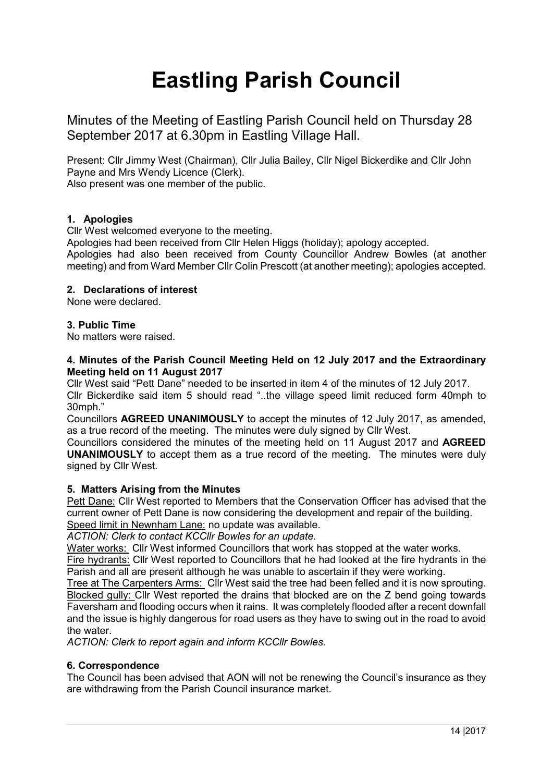# **Eastling Parish Council**

Minutes of the Meeting of Eastling Parish Council held on Thursday 28 September 2017 at 6.30pm in Eastling Village Hall.

Present: Cllr Jimmy West (Chairman), Cllr Julia Bailey, Cllr Nigel Bickerdike and Cllr John Payne and Mrs Wendy Licence (Clerk).

Also present was one member of the public.

# **1. Apologies**

Cllr West welcomed everyone to the meeting.

Apologies had been received from Cllr Helen Higgs (holiday); apology accepted. Apologies had also been received from County Councillor Andrew Bowles (at another meeting) and from Ward Member Cllr Colin Prescott (at another meeting); apologies accepted.

# **2. Declarations of interest**

None were declared.

# **3. Public Time**

No matters were raised.

## **4. Minutes of the Parish Council Meeting Held on 12 July 2017 and the Extraordinary Meeting held on 11 August 2017**

Cllr West said "Pett Dane" needed to be inserted in item 4 of the minutes of 12 July 2017. Cllr Bickerdike said item 5 should read "..the village speed limit reduced form 40mph to 30mph."

Councillors **AGREED UNANIMOUSLY** to accept the minutes of 12 July 2017, as amended, as a true record of the meeting. The minutes were duly signed by Cllr West.

Councillors considered the minutes of the meeting held on 11 August 2017 and **AGREED UNANIMOUSLY** to accept them as a true record of the meeting. The minutes were duly signed by Cllr West.

# **5. Matters Arising from the Minutes**

Pett Dane: Cllr West reported to Members that the Conservation Officer has advised that the current owner of Pett Dane is now considering the development and repair of the building. Speed limit in Newnham Lane: no update was available.

*ACTION: Clerk to contact KCCllr Bowles for an update.*

Water works: Cllr West informed Councillors that work has stopped at the water works.

Fire hydrants: Cllr West reported to Councillors that he had looked at the fire hydrants in the Parish and all are present although he was unable to ascertain if they were working.

Tree at The Carpenters Arms: Cllr West said the tree had been felled and it is now sprouting. Blocked gully: Cllr West reported the drains that blocked are on the Z bend going towards Faversham and flooding occurs when it rains. It was completely flooded after a recent downfall and the issue is highly dangerous for road users as they have to swing out in the road to avoid the water.

*ACTION: Clerk to report again and inform KCCllr Bowles.*

# **6. Correspondence**

The Council has been advised that AON will not be renewing the Council's insurance as they are withdrawing from the Parish Council insurance market.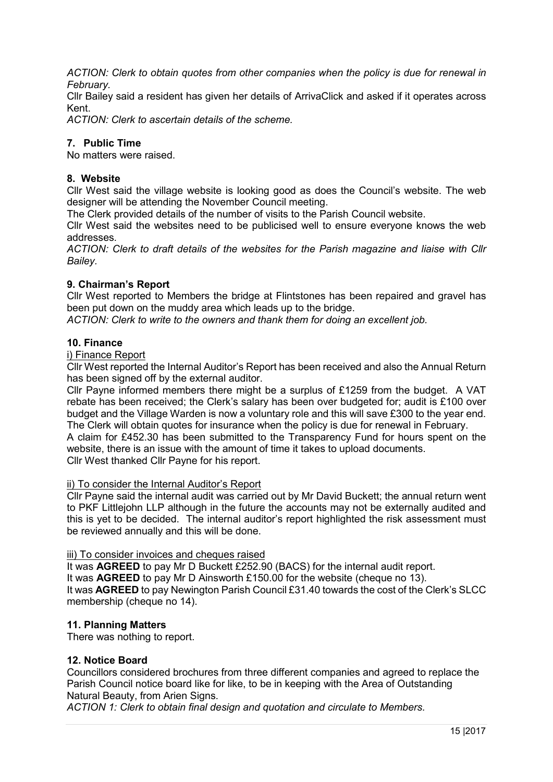*ACTION: Clerk to obtain quotes from other companies when the policy is due for renewal in February.*

Cllr Bailey said a resident has given her details of ArrivaClick and asked if it operates across Kent.

*ACTION: Clerk to ascertain details of the scheme.*

## **7. Public Time**

No matters were raised.

# **8. Website**

Cllr West said the village website is looking good as does the Council's website. The web designer will be attending the November Council meeting.

The Clerk provided details of the number of visits to the Parish Council website.

Cllr West said the websites need to be publicised well to ensure everyone knows the web addresses.

*ACTION: Clerk to draft details of the websites for the Parish magazine and liaise with Cllr Bailey.*

## **9. Chairman's Report**

Cllr West reported to Members the bridge at Flintstones has been repaired and gravel has been put down on the muddy area which leads up to the bridge.

*ACTION: Clerk to write to the owners and thank them for doing an excellent job.*

## **10. Finance**

i) Finance Report

Cllr West reported the Internal Auditor's Report has been received and also the Annual Return has been signed off by the external auditor.

Cllr Payne informed members there might be a surplus of £1259 from the budget. A VAT rebate has been received; the Clerk's salary has been over budgeted for; audit is £100 over budget and the Village Warden is now a voluntary role and this will save £300 to the year end. The Clerk will obtain quotes for insurance when the policy is due for renewal in February.

A claim for £452.30 has been submitted to the Transparency Fund for hours spent on the website, there is an issue with the amount of time it takes to upload documents. Cllr West thanked Cllr Payne for his report.

## ii) To consider the Internal Auditor's Report

Cllr Payne said the internal audit was carried out by Mr David Buckett; the annual return went to PKF Littlejohn LLP although in the future the accounts may not be externally audited and this is yet to be decided. The internal auditor's report highlighted the risk assessment must be reviewed annually and this will be done.

#### iii) To consider invoices and cheques raised

It was **AGREED** to pay Mr D Buckett £252.90 (BACS) for the internal audit report.

It was **AGREED** to pay Mr D Ainsworth £150.00 for the website (cheque no 13).

It was **AGREED** to pay Newington Parish Council £31.40 towards the cost of the Clerk's SLCC membership (cheque no 14).

#### **11. Planning Matters**

There was nothing to report.

#### **12. Notice Board**

Councillors considered brochures from three different companies and agreed to replace the Parish Council notice board like for like, to be in keeping with the Area of Outstanding Natural Beauty, from Arien Signs.

*ACTION 1: Clerk to obtain final design and quotation and circulate to Members.*